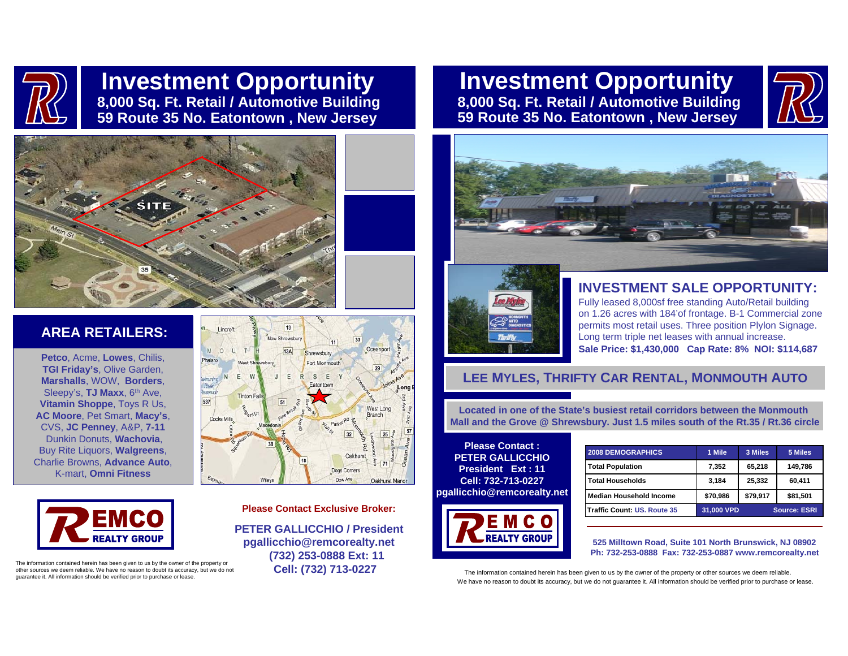

# **Investment Opportunity 8,000 Sq. Ft. Retail / Automotive Building 59 Route 35 No. Eatontown , New Jersey**

# **Investment Opportunity 8,000 Sq. Ft. Retail / Automotive Building 59 Route 35 No. Eatontown , New Jersey**





## **AREA RETAILERS:**

**Petco**, Acme, **Lowes**, Chilis, **TGI Friday's**, Olive Garden, **Marshalls**, WOW, **Borders**, Sleepy's, **TJ Maxx**, 6<sup>th</sup> Ave, **Vitamin Shoppe**, Toys R Us, **AC Moore**, Pet Smart, **Macy's**, CVS, **JC Penney**, A&P, **7-11** Dunkin Donuts, **Wachovia**, Buy Rite Liquors, **Walgreens**, Charlie Browns, **Advance Auto**, K-mart, **Omni Fitness**



The information contained herein has been given to us by the owner of the property or other sources we deem reliable. We have no reason to doubt its accuracy, but we do not guarantee it. All information should be verified prior to purchase or lease.



#### **Please Contact Exclusive Broker:**

**PETER GALLICCHIO / Presidentpgallicchio@remcorealty.net (732) 253-0888 Ext: 11 Cell: (732) 713-0227**





### **INVESTMENT SALE OPPORTUNITY:**

Fully leased 8,000sf free standing Auto/Retail building on 1.26 acres with 184'of frontage. B-1 Commercial zone permits most retail uses. Three position Plylon Signage. Long term triple net leases with annual increase. **Sale Price: \$1,430,000 Cap Rate: 8% NOI: \$114,687**

## **LEE MYLES, THRIFTY CAR RENTAL, MONMOUTH AUTO**

**Located in one of the State's busiest retail corridors between the Monmouth Mall and the Grove @ Shrewsbury. Just 1.5 miles south of the Rt.35 / Rt.36 circle**

**Please Contact :PETER GALLICCHIOPresident Ext : 11Cell: 732-713-0227pgallicchio@remcorealty.net**



| <b>2008 DEMOGRAPHICS</b>       | 1 Mile                            | 3 Miles  | 5 Miles  |
|--------------------------------|-----------------------------------|----------|----------|
| <b>Total Population</b>        | 7.352                             | 65,218   | 149,786  |
| <b>Total Households</b>        | 3,184                             | 25,332   | 60,411   |
| <b>Median Household Income</b> | \$70,986                          | \$79,917 | \$81,501 |
| Traffic Count: US, Route 35    | 31,000 VPD<br><b>Source: ESRI</b> |          |          |

**525 Milltown Road, Suite 101 North Brunswick, NJ 08902 Ph: 732-253-0888 Fax: 732-253-0887 www.remcorealty.net**

The information contained herein has been given to us by the owner of the property or other sources we deem reliable. We have no reason to doubt its accuracy, but we do not guarantee it. All information should be verified prior to purchase or lease.